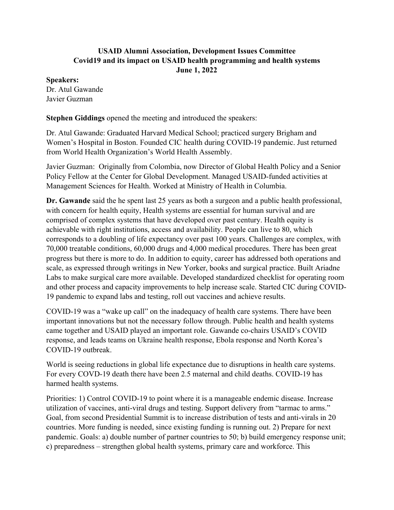## **USAID Alumni Association, Development Issues Committee Covid19 and its impact on USAID health programming and health systems June 1, 2022**

## **Speakers:**

Dr. Atul Gawande Javier Guzman

**Stephen Giddings** opened the meeting and introduced the speakers:

Dr. Atul Gawande: Graduated Harvard Medical School; practiced surgery Brigham and Women's Hospital in Boston. Founded CIC health during COVID-19 pandemic. Just returned from World Health Organization's World Health Assembly.

Javier Guzman: Originally from Colombia, now Director of Global Health Policy and a Senior Policy Fellow at the Center for Global Development. Managed USAID-funded activities at Management Sciences for Health. Worked at Ministry of Health in Columbia.

**Dr. Gawande** said the he spent last 25 years as both a surgeon and a public health professional, with concern for health equity, Health systems are essential for human survival and are comprised of complex systems that have developed over past century. Health equity is achievable with right institutions, access and availability. People can live to 80, which corresponds to a doubling of life expectancy over past 100 years. Challenges are complex, with 70,000 treatable conditions, 60,000 drugs and 4,000 medical procedures. There has been great progress but there is more to do. In addition to equity, career has addressed both operations and scale, as expressed through writings in New Yorker, books and surgical practice. Built Ariadne Labs to make surgical care more available. Developed standardized checklist for operating room and other process and capacity improvements to help increase scale. Started CIC during COVID-19 pandemic to expand labs and testing, roll out vaccines and achieve results.

COVID-19 was a "wake up call" on the inadequacy of health care systems. There have been important innovations but not the necessary follow through. Public health and health systems came together and USAID played an important role. Gawande co-chairs USAID's COVID response, and leads teams on Ukraine health response, Ebola response and North Korea's COVID-19 outbreak.

World is seeing reductions in global life expectance due to disruptions in health care systems. For every COVD-19 death there have been 2.5 maternal and child deaths. COVID-19 has harmed health systems.

Priorities: 1) Control COVID-19 to point where it is a manageable endemic disease. Increase utilization of vaccines, anti-viral drugs and testing. Support delivery from "tarmac to arms." Goal, from second Presidential Summit is to increase distribution of tests and anti-virals in 20 countries. More funding is needed, since existing funding is running out. 2) Prepare for next pandemic. Goals: a) double number of partner countries to 50; b) build emergency response unit; c) preparedness – strengthen global health systems, primary care and workforce. This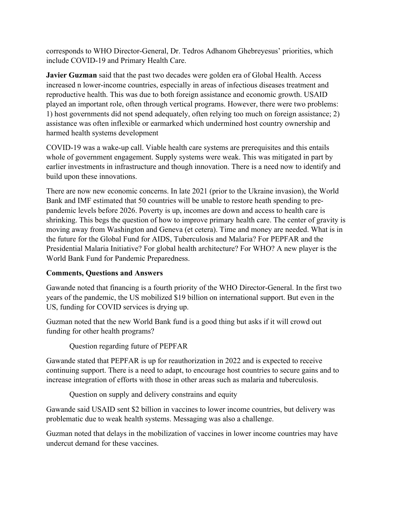corresponds to WHO Director-General, Dr. Tedros Adhanom Ghebreyesus' priorities, which include COVID-19 and Primary Health Care.

**Javier Guzman** said that the past two decades were golden era of Global Health. Access increased n lower-income countries, especially in areas of infectious diseases treatment and reproductive health. This was due to both foreign assistance and economic growth. USAID played an important role, often through vertical programs. However, there were two problems: 1) host governments did not spend adequately, often relying too much on foreign assistance; 2) assistance was often inflexible or earmarked which undermined host country ownership and harmed health systems development

COVID-19 was a wake-up call. Viable health care systems are prerequisites and this entails whole of government engagement. Supply systems were weak. This was mitigated in part by earlier investments in infrastructure and though innovation. There is a need now to identify and build upon these innovations.

There are now new economic concerns. In late 2021 (prior to the Ukraine invasion), the World Bank and IMF estimated that 50 countries will be unable to restore heath spending to prepandemic levels before 2026. Poverty is up, incomes are down and access to health care is shrinking. This begs the question of how to improve primary health care. The center of gravity is moving away from Washington and Geneva (et cetera). Time and money are needed. What is in the future for the Global Fund for AIDS, Tuberculosis and Malaria? For PEPFAR and the Presidential Malaria Initiative? For global health architecture? For WHO? A new player is the World Bank Fund for Pandemic Preparedness.

## **Comments, Questions and Answers**

Gawande noted that financing is a fourth priority of the WHO Director-General. In the first two years of the pandemic, the US mobilized \$19 billion on international support. But even in the US, funding for COVID services is drying up.

Guzman noted that the new World Bank fund is a good thing but asks if it will crowd out funding for other health programs?

Question regarding future of PEPFAR

Gawande stated that PEPFAR is up for reauthorization in 2022 and is expected to receive continuing support. There is a need to adapt, to encourage host countries to secure gains and to increase integration of efforts with those in other areas such as malaria and tuberculosis.

Question on supply and delivery constrains and equity

Gawande said USAID sent \$2 billion in vaccines to lower income countries, but delivery was problematic due to weak health systems. Messaging was also a challenge.

Guzman noted that delays in the mobilization of vaccines in lower income countries may have undercut demand for these vaccines.